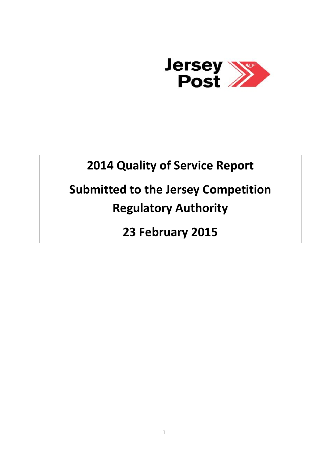

## **2014 Quality of Service Report**

# **Submitted to the Jersey Competition Regulatory Authority**

**23 February 2015**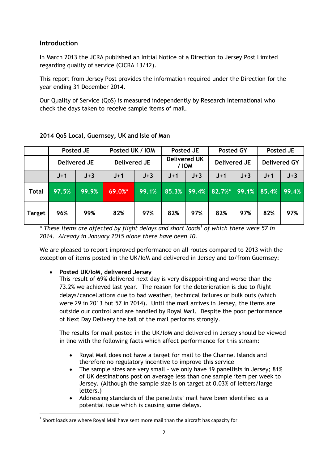#### **Introduction**

In March 2013 the JCRA published an Initial Notice of a Direction to Jersey Post Limited regarding quality of service (CICRA 13/12).

This report from Jersey Post provides the information required under the Direction for the year ending 31 December 2014.

Our Quality of Service (QoS) is measured independently by Research International who check the days taken to receive sample items of mail.

|               | Posted JE           |       | Posted UK / IOM     |       | <b>Posted JE</b>             |       | <b>Posted GY</b>    |       | Posted JE           |       |
|---------------|---------------------|-------|---------------------|-------|------------------------------|-------|---------------------|-------|---------------------|-------|
|               | <b>Delivered JE</b> |       | <b>Delivered JE</b> |       | <b>Delivered UK</b><br>/ IOM |       | <b>Delivered JE</b> |       | <b>Delivered GY</b> |       |
|               | $J+1$               | $J+3$ | $J+1$               | $J+3$ | $J+1$                        | $J+3$ | $J+1$               | $J+3$ | $J+1$               | $J+3$ |
| <b>Total</b>  | 97.5%               | 99.9% | 69.0%*              | 99.1% | 85.3%                        | 99.4% | 82.7%               | 99.1% | 85.4%               | 99.4% |
| <b>Target</b> | 96%                 | 99%   | 82%                 | 97%   | 82%                          | 97%   | 82%                 | 97%   | 82%                 | 97%   |

## **2014 QoS Local, Guernsey, UK and Isle of Man**

*\* These items are affected by flight delays and short loads<sup>1</sup> of which there were 57 in 2014. Already in January 2015 alone there have been 10.*

We are pleased to report improved performance on all routes compared to 2013 with the exception of items posted in the UK/IoM and delivered in Jersey and to/from Guernsey:

## **Posted UK/IoM, delivered Jersey**

This result of 69% delivered next day is very disappointing and worse than the 73.2% we achieved last year. The reason for the deterioration is due to flight delays/cancellations due to bad weather, technical failures or bulk outs (which were 29 in 2013 but 57 in 2014). Until the mail arrives in Jersey, the items are outside our control and are handled by Royal Mail. Despite the poor performance of Next Day Delivery the tail of the mail performs strongly.

The results for mail posted in the UK/IoM and delivered in Jersey should be viewed in line with the following facts which affect performance for this stream:

- Royal Mail does not have a target for mail to the Channel Islands and therefore no regulatory incentive to improve this service
- The sample sizes are very small we only have 19 panellists in Jersey; 81% of UK destinations post on average less than one sample item per week to Jersey. (Although the sample size is on target at 0.03% of letters/large letters.)
- Addressing standards of the panellists' mail have been identified as a potential issue which is causing some delays.

**<sup>.</sup>**  $<sup>1</sup>$  Short loads are where Royal Mail have sent more mail than the aircraft has capacity for.</sup>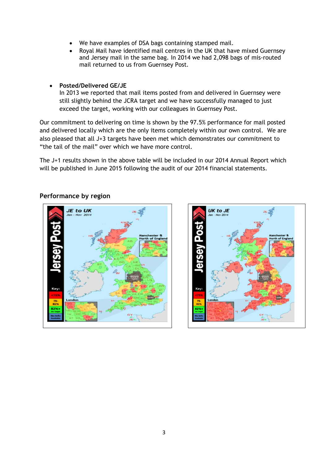- We have examples of DSA bags containing stamped mail.
- Royal Mail have identified mail centres in the UK that have mixed Guernsey and Jersey mail in the same bag. In 2014 we had 2,098 bags of mis-routed mail returned to us from Guernsey Post.
- **Posted/Delivered GE/JE**

In 2013 we reported that mail items posted from and delivered in Guernsey were still slightly behind the JCRA target and we have successfully managed to just exceed the target, working with our colleagues in Guernsey Post.

Our commitment to delivering on time is shown by the 97.5% performance for mail posted and delivered locally which are the only items completely within our own control. We are also pleased that all J+3 targets have been met which demonstrates our commitment to "the tail of the mail" over which we have more control.

The J+1 results shown in the above table will be included in our 2014 Annual Report which will be published in June 2015 following the audit of our 2014 financial statements.



#### **Performance by region**

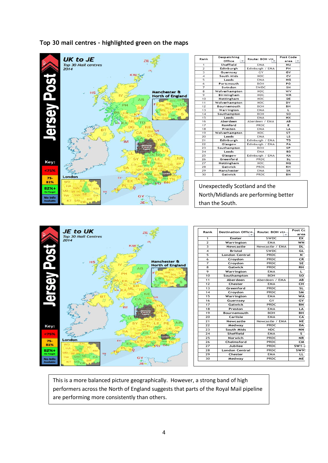

## **Top 30 mail centres – highlighted green on the maps**

| Rank                    | Despatching   | Route: BOH via  | Post Code |
|-------------------------|---------------|-----------------|-----------|
|                         | Office        |                 | area      |
| $\mathbf{1}$            | Sheffield     | <b>EMA</b>      | HU        |
| $\overline{2}$          | Edinburgh     | Edinburgh / EMA | PH        |
| $\overline{\mathbf{3}}$ | Guernsey      | GY              | GY        |
| 4                       | South Mids    | <b>NDC</b>      | CV        |
| 5                       | Leeds         | <b>EMA</b>      | HG        |
| 6                       | Portsmouth    | <b>BOH</b>      | PO        |
| $\overline{z}$          | Swindon       | <b>SWDC</b>     | <b>SN</b> |
| 8                       | Wolverhampton | <b>NDC</b>      | wv        |
| 9                       | Birmingham    | <b>NDC</b>      | WR        |
| 10                      | Nottingham    | <b>NDC</b>      | DE        |
| 11                      | Wolverhampton | NDC.            | DY        |
| 12                      | Bournemouth   | <b>BOH</b>      | BH        |
| 13                      | Warrington    | <b>FMA</b>      | L         |
| 14                      | Southampton   | <b>BOH</b>      | SO        |
| 15                      | Leeds         | <b>EMA</b>      | HX        |
| 16                      | Aberdeen      | Aberdeen / EMA  | AB        |
| 17                      | Romford       | PRDC            | Е         |
| 18                      | Preston       | <b>EMA</b>      | LA        |
| 19                      | Wolverhampton | NDC.            | <b>ST</b> |
| 20                      | Leeds         | <b>EMA</b>      | LS        |
| 21                      | Edinburgh     | Edinburgh / EMA | TD        |
| 22                      | Glasgow       | Edinburgh / EMA | PA        |
| 23                      | Southampton   | <b>BOH</b>      | SP        |
| 24                      | Leeds         | <b>FMA</b>      | <b>BD</b> |
| 25                      | Glasgow       | Edinburgh / EMA | KA        |
| 26                      | Greenford     | PRDC            | <b>SL</b> |
| 27                      | Nottingham    | <b>NDC</b>      | NG        |
| 28                      | Gatwick       | PRDC            | <b>RH</b> |
| 29                      | Manchester    | <b>EMA</b>      | <b>SK</b> |
| 30                      | Gatwick       | PRDC            | BN        |
|                         |               |                 |           |

Unexpectedly Scotland and the North/Midlands are performing better than the South.



This is a more balanced picture geographically. However, a strong band of high performers across the North of England suggests that parts of the Royal Mail pipeline are performing more consistently than others.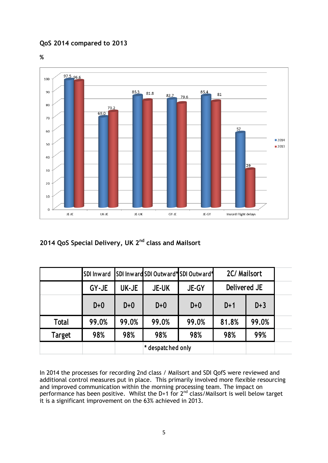**QoS 2014 compared to 2013**





**2014 QoS Special Delivery, UK 2nd class and Mailsort**

|               | <b>SDI Inward</b> |       |                   | SDI Inward SDI Outward* SDI Outward* | 2C/ Mailsort |       |
|---------------|-------------------|-------|-------------------|--------------------------------------|--------------|-------|
|               | GY-JE             | UK-JE | <b>JE-UK</b>      | <b>JE-GY</b>                         | Delivered JE |       |
|               | $D+0$             | $D+O$ | $D+O$             | $D+0$                                | $D+1$        | $D+3$ |
| <b>Total</b>  | 99.0%             | 99.0% | 99.0%             | 99.0%                                | 81.8%        | 99.0% |
| <b>Target</b> | 98%               | 98%   | 98%               | 98%                                  | 98%          | 99%   |
|               |                   |       | * despatched only |                                      |              |       |

In 2014 the processes for recording 2nd class / Mailsort and SDI QofS were reviewed and additional control measures put in place. This primarily involved more flexible resourcing and improved communication within the morning processing team. The impact on performance has been positive. Whilst the D+1 for 2<sup>nd</sup> class/Mailsort is well below target it is a significant improvement on the 63% achieved in 2013.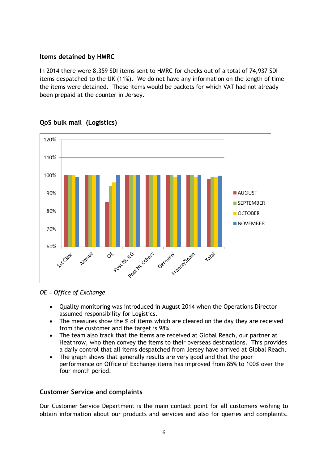### **Items detained by HMRC**

In 2014 there were 8,359 SDI items sent to HMRC for checks out of a total of 74,937 SDI items despatched to the UK (11%). We do not have any information on the length of time the items were detained. These items would be packets for which VAT had not already been prepaid at the counter in Jersey.



**QoS bulk mail (Logistics)**

*OE = Office of Exchange* 

- Quality monitoring was introduced in August 2014 when the Operations Director assumed responsibility for Logistics.
- The measures show the % of items which are cleared on the day they are received from the customer and the target is 98%.
- The team also track that the items are received at Global Reach, our partner at Heathrow, who then convey the items to their overseas destinations. This provides a daily control that all items despatched from Jersey have arrived at Global Reach.
- The graph shows that generally results are very good and that the poor performance on Office of Exchange items has improved from 85% to 100% over the four month period.

## **Customer Service and complaints**

Our Customer Service Department is the main contact point for all customers wishing to obtain information about our products and services and also for queries and complaints.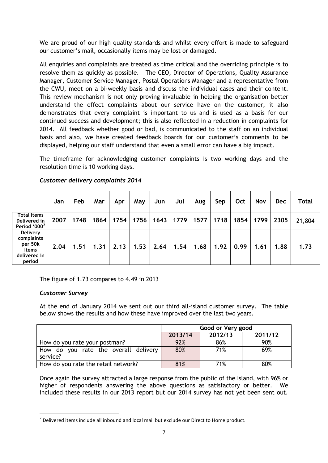We are proud of our high quality standards and whilst every effort is made to safeguard our customer's mail, occasionally items may be lost or damaged.

All enquiries and complaints are treated as time critical and the overriding principle is to resolve them as quickly as possible. The CEO, Director of Operations, Quality Assurance Manager, Customer Service Manager, Postal Operations Manager and a representative from the CWU, meet on a bi-weekly basis and discuss the individual cases and their content. This review mechanism is not only proving invaluable in helping the organisation better understand the effect complaints about our service have on the customer; it also demonstrates that every complaint is important to us and is used as a basis for our continued success and development; this is also reflected in a reduction in complaints for 2014. All feedback whether good or bad, is communicated to the staff on an individual basis and also, we have created feedback boards for our customer's comments to be displayed, helping our staff understand that even a small error can have a big impact.

The timeframe for acknowledging customer complaints is two working days and the resolution time is 10 working days.

|                                                                      | Jan  | Feb  | Mar  | Apr  | May  | Jun  | Jul  | Aug  | Sep  | Oct  | <b>Nov</b> | <b>Dec</b> | Total  |
|----------------------------------------------------------------------|------|------|------|------|------|------|------|------|------|------|------------|------------|--------|
| <b>Total Items</b><br>Delivered in<br>Period '000 <sup>2</sup>       | 2007 | 1748 | 1864 | 1754 | 1756 | 1643 | 1779 | 1577 | 1718 | 1854 | 1799       | 2305       | 21,804 |
| Delivery<br>complaints<br>per 50k<br>Items<br>delivered in<br>period | 2.04 | 1.51 | 1.31 | 2.13 | 1.53 | 2.64 | 1.54 | 1.68 | 1.92 | 0.99 | 1.61       | 1.88       | 1.73   |

*Customer delivery complaints 2014*

The figure of 1.73 compares to 4.49 in 2013

#### *Customer Survey*

At the end of January 2014 we sent out our third all-island customer survey. The table below shows the results and how these have improved over the last two years.

|                                                  | Good or Very good             |     |     |  |  |
|--------------------------------------------------|-------------------------------|-----|-----|--|--|
|                                                  | 2012/13<br>2011/12<br>2013/14 |     |     |  |  |
| How do you rate your postman?                    | 92%                           | 86% | 90% |  |  |
| How do you rate the overall delivery<br>service? | 80%                           | 71% | 69% |  |  |
| How do you rate the retail network?              | 81%                           | 71% | 80% |  |  |

Once again the survey attracted a large response from the public of the Island, with 96% or higher of respondents answering the above questions as satisfactory or better. We included these results in our 2013 report but our 2014 survey has not yet been sent out.

**<sup>.</sup>**  $2$  Delivered items include all inbound and local mail but exclude our Direct to Home product.